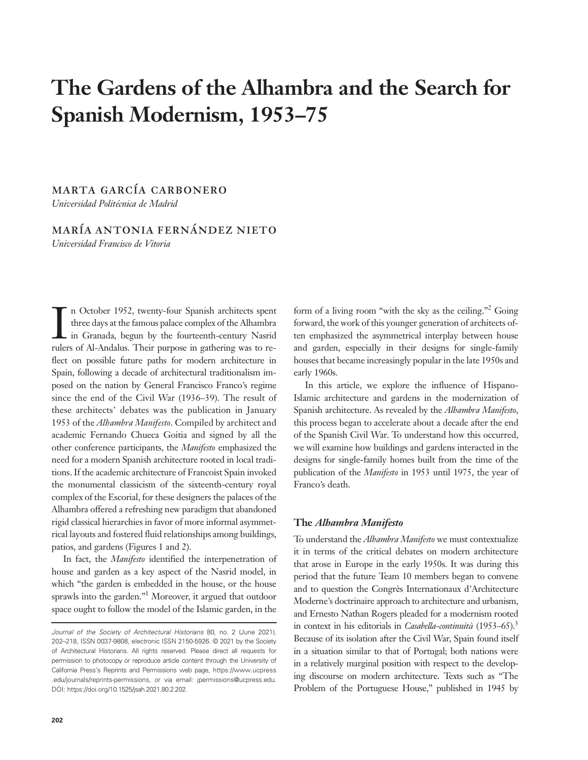# The Gardens of the Alhambra and the Search for Spanish Modernism, 1953–75

## marta garcía carbonero

Universidad Politécnica de Madrid

## maría antonia fernández nieto

Universidad Francisco de Vitoria

In October 1952, twenty-four Spanish architects spent three days at the famous palace complex of the Alhambra in Granada, begun by the fourteenth-century Nasrid rulers of Al-Andalus. Their purpose in gathering was to ren October 1952, twenty-four Spanish architects spent three days at the famous palace complex of the Alhambra in Granada, begun by the fourteenth-century Nasrid flect on possible future paths for modern architecture in Spain, following a decade of architectural traditionalism imposed on the nation by General Francisco Franco's regime since the end of the Civil War (1936–39). The result of these architects' debates was the publication in January 1953 of the Alhambra Manifesto. Compiled by architect and academic Fernando Chueca Goitia and signed by all the other conference participants, the Manifesto emphasized the need for a modern Spanish architecture rooted in local traditions. If the academic architecture of Francoist Spain invoked the monumental classicism of the sixteenth-century royal complex of the Escorial, for these designers the palaces of the Alhambra offered a refreshing new paradigm that abandoned rigid classical hierarchies in favor of more informal asymmetrical layouts and fostered fluid relationships among buildings, patios, and gardens (Figures 1 and 2).

In fact, the Manifesto identified the interpenetration of house and garden as a key aspect of the Nasrid model, in which "the garden is embedded in the house, or the house sprawls into the garden." <sup>1</sup> Moreover, it argued that outdoor space ought to follow the model of the Islamic garden, in the

form of a living room "with the sky as the ceiling."<sup>2</sup> Going forward, the work of this younger generation of architects often emphasized the asymmetrical interplay between house and garden, especially in their designs for single-family houses that became increasingly popular in the late 1950s and early 1960s.

In this article, we explore the influence of Hispano-Islamic architecture and gardens in the modernization of Spanish architecture. As revealed by the Alhambra Manifesto, this process began to accelerate about a decade after the end of the Spanish Civil War. To understand how this occurred, we will examine how buildings and gardens interacted in the designs for single-family homes built from the time of the publication of the Manifesto in 1953 until 1975, the year of Franco's death.

#### The Alhambra Manifesto

To understand the *Alhambra Manifesto* we must contextualize it in terms of the critical debates on modern architecture that arose in Europe in the early 1950s. It was during this period that the future Team 10 members began to convene and to question the Congrès Internationaux d'Architecture Moderne's doctrinaire approach to architecture and urbanism, and Ernesto Nathan Rogers pleaded for a modernism rooted in context in his editorials in *Casabella-continuità*  $(1953-65)$ .<sup>3</sup> Because of its isolation after the Civil War, Spain found itself in a situation similar to that of Portugal; both nations were in a relatively marginal position with respect to the developing discourse on modern architecture. Texts such as "The Problem of the Portuguese House," published in 1945 by

Journal of the Society of Architectural Historians 80, no. 2 (June 2021), 202–218, ISSN 0037-9808, electronic ISSN 2150-5926. © 2021 by the Society of Architectural Historians. All rights reserved. Please direct all requests for permission to photocopy or reproduce article content through the University of California Press's Reprints and Permissions web page, https://www.ucpress .edu/journals/reprints-permissions, or via email: jpermissions@ucpress.edu. DOI: https://doi.org/10.1525/jsah.2021.80.2.202.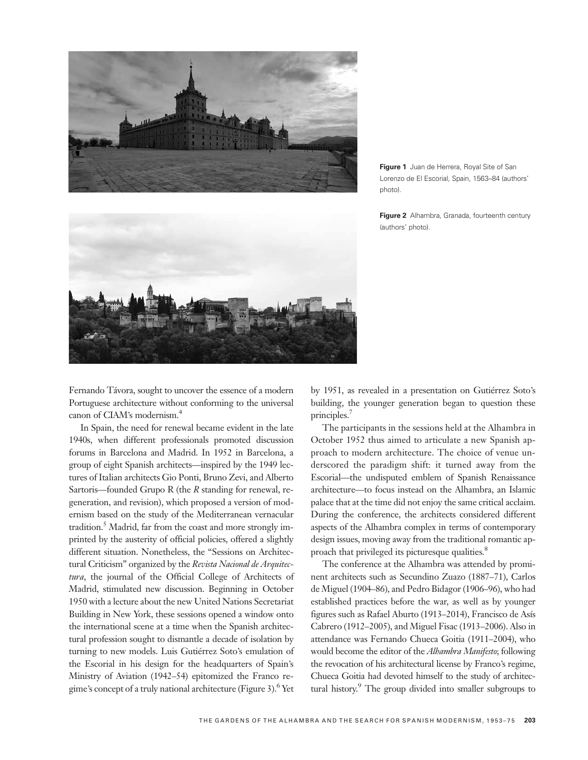

Figure 1 Juan de Herrera, Royal Site of San Lorenzo de El Escorial, Spain, 1563–84 (authors' photo)

Figure 2 Alhambra, Granada, fourteenth century (authors' photo).



Fernando Távora, sought to uncover the essence of a modern Portuguese architecture without conforming to the universal canon of CIAM's modernism.4

In Spain, the need for renewal became evident in the late 1940s, when different professionals promoted discussion forums in Barcelona and Madrid. In 1952 in Barcelona, a group of eight Spanish architects—inspired by the 1949 lectures of Italian architects Gio Ponti, Bruno Zevi, and Alberto Sartoris—founded Grupo R (the R standing for renewal, regeneration, and revision), which proposed a version of modernism based on the study of the Mediterranean vernacular tradition.<sup>5</sup> Madrid, far from the coast and more strongly imprinted by the austerity of official policies, offered a slightly different situation. Nonetheless, the "Sessions on Architectural Criticism" organized by the Revista Nacional de Arquitectura, the journal of the Official College of Architects of Madrid, stimulated new discussion. Beginning in October 1950 with a lecture about the new United Nations Secretariat Building in New York, these sessions opened a window onto the international scene at a time when the Spanish architectural profession sought to dismantle a decade of isolation by turning to new models. Luis Gutiérrez Soto's emulation of the Escorial in his design for the headquarters of Spain's Ministry of Aviation (1942–54) epitomized the Franco regime's concept of a truly national architecture (Figure 3).6 Yet

by 1951, as revealed in a presentation on Gutiérrez Soto's building, the younger generation began to question these principles.7

The participants in the sessions held at the Alhambra in October 1952 thus aimed to articulate a new Spanish approach to modern architecture. The choice of venue underscored the paradigm shift: it turned away from the Escorial—the undisputed emblem of Spanish Renaissance architecture—to focus instead on the Alhambra, an Islamic palace that at the time did not enjoy the same critical acclaim. During the conference, the architects considered different aspects of the Alhambra complex in terms of contemporary design issues, moving away from the traditional romantic approach that privileged its picturesque qualities.<sup>8</sup>

The conference at the Alhambra was attended by prominent architects such as Secundino Zuazo (1887–71), Carlos de Miguel (1904–86), and Pedro Bidagor (1906–96), who had established practices before the war, as well as by younger figures such as Rafael Aburto (1913–2014), Francisco de Asís Cabrero (1912–2005), and Miguel Fisac (1913–2006). Also in attendance was Fernando Chueca Goitia (1911–2004), who would become the editor of the Alhambra Manifesto; following the revocation of his architectural license by Franco's regime, Chueca Goitia had devoted himself to the study of architectural history.<sup>9</sup> The group divided into smaller subgroups to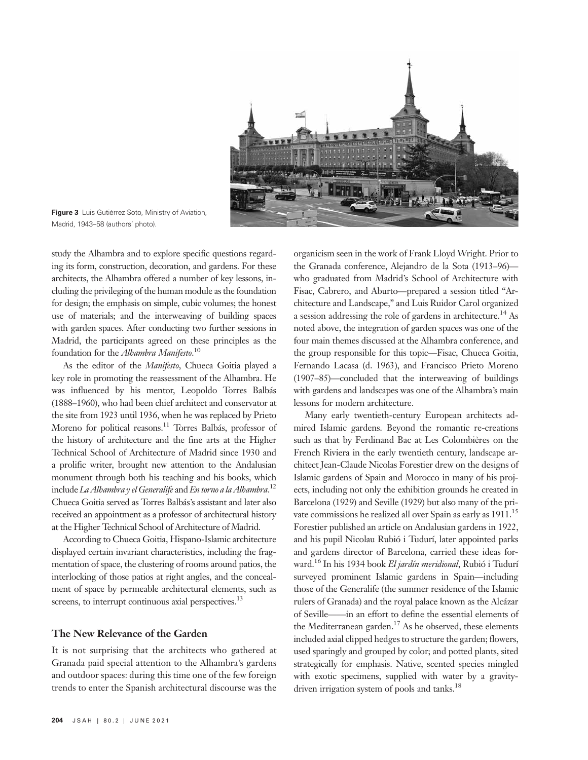

Figure 3 Luis Gutiérrez Soto, Ministry of Aviation, Madrid, 1943–58 (authors' photo).

study the Alhambra and to explore specific questions regarding its form, construction, decoration, and gardens. For these architects, the Alhambra offered a number of key lessons, including the privileging of the human module as the foundation for design; the emphasis on simple, cubic volumes; the honest use of materials; and the interweaving of building spaces with garden spaces. After conducting two further sessions in Madrid, the participants agreed on these principles as the foundation for the Alhambra Manifesto.<sup>10</sup>

As the editor of the Manifesto, Chueca Goitia played a key role in promoting the reassessment of the Alhambra. He was influenced by his mentor, Leopoldo Torres Balbás (1888–1960), who had been chief architect and conservator at the site from 1923 until 1936, when he was replaced by Prieto Moreno for political reasons.<sup>11</sup> Torres Balbás, professor of the history of architecture and the fine arts at the Higher Technical School of Architecture of Madrid since 1930 and a prolific writer, brought new attention to the Andalusian monument through both his teaching and his books, which include *La Alhambra y el Generalife* and *En torno a la Alhambra.<sup>12</sup>* Chueca Goitia served as Torres Balbás's assistant and later also received an appointment as a professor of architectural history at the Higher Technical School of Architecture of Madrid.

According to Chueca Goitia, Hispano-Islamic architecture displayed certain invariant characteristics, including the fragmentation of space, the clustering of rooms around patios, the interlocking of those patios at right angles, and the concealment of space by permeable architectural elements, such as screens, to interrupt continuous axial perspectives.<sup>13</sup>

### The New Relevance of the Garden

It is not surprising that the architects who gathered at Granada paid special attention to the Alhambra's gardens and outdoor spaces: during this time one of the few foreign trends to enter the Spanish architectural discourse was the

organicism seen in the work of Frank Lloyd Wright. Prior to the Granada conference, Alejandro de la Sota (1913–96) who graduated from Madrid's School of Architecture with Fisac, Cabrero, and Aburto—prepared a session titled "Architecture and Landscape," and Luis Ruidor Carol organized a session addressing the role of gardens in architecture.<sup>14</sup> As noted above, the integration of garden spaces was one of the four main themes discussed at the Alhambra conference, and the group responsible for this topic—Fisac, Chueca Goitia, Fernando Lacasa (d. 1963), and Francisco Prieto Moreno (1907–85)—concluded that the interweaving of buildings with gardens and landscapes was one of the Alhambra's main lessons for modern architecture.

Many early twentieth-century European architects admired Islamic gardens. Beyond the romantic re-creations such as that by Ferdinand Bac at Les Colombières on the French Riviera in the early twentieth century, landscape architect Jean-Claude Nicolas Forestier drew on the designs of Islamic gardens of Spain and Morocco in many of his projects, including not only the exhibition grounds he created in Barcelona (1929) and Seville (1929) but also many of the private commissions he realized all over Spain as early as 1911.<sup>15</sup> Forestier published an article on Andalusian gardens in 1922, and his pupil Nicolau Rubió i Tudurí, later appointed parks and gardens director of Barcelona, carried these ideas forward.<sup>16</sup> In his 1934 book El jardín meridional, Rubió i Tudurí surveyed prominent Islamic gardens in Spain—including those of the Generalife (the summer residence of the Islamic rulers of Granada) and the royal palace known as the Alcázar of Seville——in an effort to define the essential elements of the Mediterranean garden.<sup>17</sup> As he observed, these elements included axial clipped hedges to structure the garden; flowers, used sparingly and grouped by color; and potted plants, sited strategically for emphasis. Native, scented species mingled with exotic specimens, supplied with water by a gravitydriven irrigation system of pools and tanks.<sup>18</sup>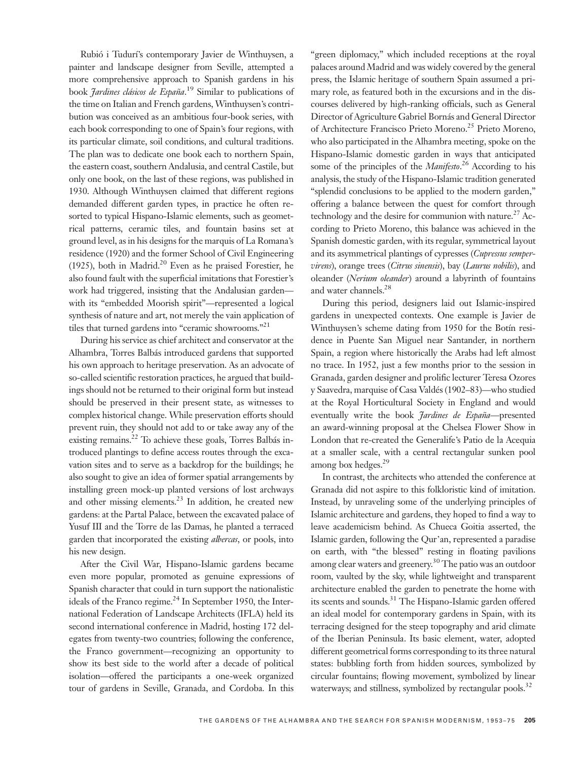Rubió i Tudurí's contemporary Javier de Winthuysen, a painter and landscape designer from Seville, attempted a more comprehensive approach to Spanish gardens in his book *Jardines clásicos de España*.<sup>19</sup> Similar to publications of the time on Italian and French gardens, Winthuysen's contribution was conceived as an ambitious four-book series, with each book corresponding to one of Spain's four regions, with its particular climate, soil conditions, and cultural traditions. The plan was to dedicate one book each to northern Spain, the eastern coast, southern Andalusia, and central Castile, but only one book, on the last of these regions, was published in 1930. Although Winthuysen claimed that different regions demanded different garden types, in practice he often resorted to typical Hispano-Islamic elements, such as geometrical patterns, ceramic tiles, and fountain basins set at ground level, as in his designs for the marquis of La Romana's residence (1920) and the former School of Civil Engineering (1925), both in Madrid.<sup>20</sup> Even as he praised Forestier, he also found fault with the superficial imitations that Forestier's work had triggered, insisting that the Andalusian garden with its "embedded Moorish spirit"—represented a logical synthesis of nature and art, not merely the vain application of tiles that turned gardens into "ceramic showrooms." 21

During his service as chief architect and conservator at the Alhambra, Torres Balbás introduced gardens that supported his own approach to heritage preservation. As an advocate of so-called scientific restoration practices, he argued that buildings should not be returned to their original form but instead should be preserved in their present state, as witnesses to complex historical change. While preservation efforts should prevent ruin, they should not add to or take away any of the existing remains.<sup>22</sup> To achieve these goals, Torres Balbás introduced plantings to define access routes through the excavation sites and to serve as a backdrop for the buildings; he also sought to give an idea of former spatial arrangements by installing green mock-up planted versions of lost archways and other missing elements.<sup>23</sup> In addition, he created new gardens: at the Partal Palace, between the excavated palace of Yusuf III and the Torre de las Damas, he planted a terraced garden that incorporated the existing albercas, or pools, into his new design.

After the Civil War, Hispano-Islamic gardens became even more popular, promoted as genuine expressions of Spanish character that could in turn support the nationalistic ideals of the Franco regime. $^{24}$  In September 1950, the International Federation of Landscape Architects (IFLA) held its second international conference in Madrid, hosting 172 delegates from twenty-two countries; following the conference, the Franco government—recognizing an opportunity to show its best side to the world after a decade of political isolation—offered the participants a one-week organized tour of gardens in Seville, Granada, and Cordoba. In this

"green diplomacy," which included receptions at the royal palaces around Madrid and was widely covered by the general press, the Islamic heritage of southern Spain assumed a primary role, as featured both in the excursions and in the discourses delivered by high-ranking officials, such as General Director of Agriculture Gabriel Bornás and General Director of Architecture Francisco Prieto Moreno.<sup>25</sup> Prieto Moreno, who also participated in the Alhambra meeting, spoke on the Hispano-Islamic domestic garden in ways that anticipated some of the principles of the *Manifesto*.<sup>26</sup> According to his analysis, the study of the Hispano-Islamic tradition generated "splendid conclusions to be applied to the modern garden," offering a balance between the quest for comfort through technology and the desire for communion with nature.<sup>27</sup> According to Prieto Moreno, this balance was achieved in the Spanish domestic garden, with its regular, symmetrical layout and its asymmetrical plantings of cypresses (Cupressus sempervirens), orange trees (Citrus sinensis), bay (Laurus nobilis), and oleander (Nerium oleander) around a labyrinth of fountains and water channels.<sup>28</sup>

During this period, designers laid out Islamic-inspired gardens in unexpected contexts. One example is Javier de Winthuysen's scheme dating from 1950 for the Botín residence in Puente San Miguel near Santander, in northern Spain, a region where historically the Arabs had left almost no trace. In 1952, just a few months prior to the session in Granada, garden designer and prolific lecturer Teresa Ozores y Saavedra, marquise of Casa Valdés (1902–83)—who studied at the Royal Horticultural Society in England and would eventually write the book *Jardines de España*—presented an award-winning proposal at the Chelsea Flower Show in London that re-created the Generalife's Patio de la Acequia at a smaller scale, with a central rectangular sunken pool among box hedges.29

In contrast, the architects who attended the conference at Granada did not aspire to this folkloristic kind of imitation. Instead, by unraveling some of the underlying principles of Islamic architecture and gardens, they hoped to find a way to leave academicism behind. As Chueca Goitia asserted, the Islamic garden, following the Qur'an, represented a paradise on earth, with "the blessed" resting in floating pavilions among clear waters and greenery.30 The patio was an outdoor room, vaulted by the sky, while lightweight and transparent architecture enabled the garden to penetrate the home with its scents and sounds.<sup>31</sup> The Hispano-Islamic garden offered an ideal model for contemporary gardens in Spain, with its terracing designed for the steep topography and arid climate of the Iberian Peninsula. Its basic element, water, adopted different geometrical forms corresponding to its three natural states: bubbling forth from hidden sources, symbolized by circular fountains; flowing movement, symbolized by linear waterways; and stillness, symbolized by rectangular pools.<sup>32</sup>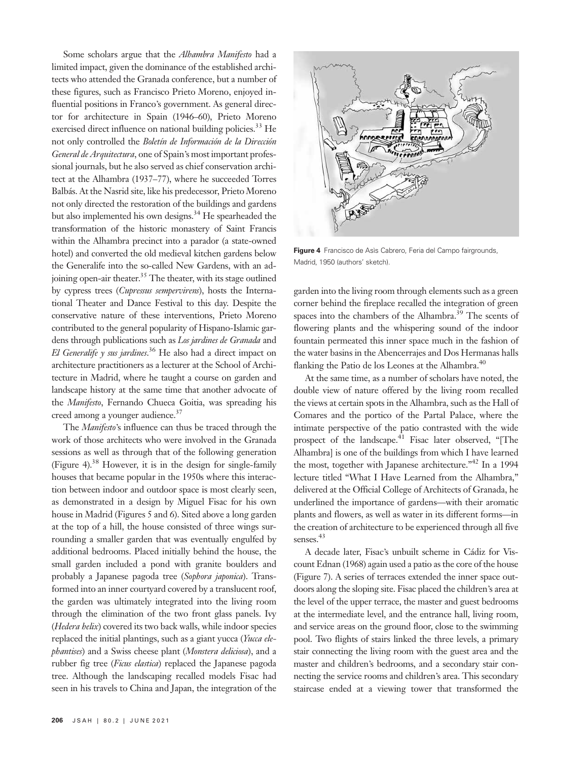Some scholars argue that the *Alhambra Manifesto* had a limited impact, given the dominance of the established architects who attended the Granada conference, but a number of these figures, such as Francisco Prieto Moreno, enjoyed influential positions in Franco's government. As general director for architecture in Spain (1946–60), Prieto Moreno exercised direct influence on national building policies.<sup>33</sup> He not only controlled the Boletín de Información de la Dirección General de Arquitectura, one of Spain's most important professional journals, but he also served as chief conservation architect at the Alhambra (1937–77), where he succeeded Torres Balbás. At the Nasrid site, like his predecessor, Prieto Moreno not only directed the restoration of the buildings and gardens but also implemented his own designs.<sup>34</sup> He spearheaded the transformation of the historic monastery of Saint Francis within the Alhambra precinct into a parador (a state-owned hotel) and converted the old medieval kitchen gardens below the Generalife into the so-called New Gardens, with an adjoining open-air theater.<sup>35</sup> The theater, with its stage outlined by cypress trees (Cupressus sempervirens), hosts the International Theater and Dance Festival to this day. Despite the conservative nature of these interventions, Prieto Moreno contributed to the general popularity of Hispano-Islamic gardens through publications such as Los jardines de Granada and El Generalife y sus jardines.<sup>36</sup> He also had a direct impact on architecture practitioners as a lecturer at the School of Architecture in Madrid, where he taught a course on garden and landscape history at the same time that another advocate of the Manifesto, Fernando Chueca Goitia, was spreading his creed among a younger audience.<sup>37</sup>

The *Manifesto's* influence can thus be traced through the work of those architects who were involved in the Granada sessions as well as through that of the following generation (Figure 4).38 However, it is in the design for single-family houses that became popular in the 1950s where this interaction between indoor and outdoor space is most clearly seen, as demonstrated in a design by Miguel Fisac for his own house in Madrid (Figures 5 and 6). Sited above a long garden at the top of a hill, the house consisted of three wings surrounding a smaller garden that was eventually engulfed by additional bedrooms. Placed initially behind the house, the small garden included a pond with granite boulders and probably a Japanese pagoda tree (Sophora japonica). Transformed into an inner courtyard covered by a translucent roof, the garden was ultimately integrated into the living room through the elimination of the two front glass panels. Ivy (Hedera helix) covered its two back walls, while indoor species replaced the initial plantings, such as a giant yucca (Yucca elephantises) and a Swiss cheese plant (Monstera deliciosa), and a rubber fig tree (Ficus elastica) replaced the Japanese pagoda tree. Although the landscaping recalled models Fisac had seen in his travels to China and Japan, the integration of the



Figure 4 Francisco de Asìs Cabrero, Feria del Campo fairgrounds, Madrid, 1950 (authors' sketch).

garden into the living room through elements such as a green corner behind the fireplace recalled the integration of green spaces into the chambers of the Alhambra.<sup>39</sup> The scents of flowering plants and the whispering sound of the indoor fountain permeated this inner space much in the fashion of the water basins in the Abencerrajes and Dos Hermanas halls flanking the Patio de los Leones at the Alhambra.<sup>40</sup>

At the same time, as a number of scholars have noted, the double view of nature offered by the living room recalled the views at certain spots in the Alhambra, such as the Hall of Comares and the portico of the Partal Palace, where the intimate perspective of the patio contrasted with the wide prospect of the landscape.<sup>41</sup> Fisac later observed, "[The Alhambra] is one of the buildings from which I have learned the most, together with Japanese architecture." <sup>42</sup> In a 1994 lecture titled "What I Have Learned from the Alhambra," delivered at the Official College of Architects of Granada, he underlined the importance of gardens—with their aromatic plants and flowers, as well as water in its different forms—in the creation of architecture to be experienced through all five senses.<sup>43</sup>

A decade later, Fisac's unbuilt scheme in Cádiz for Viscount Ednan (1968) again used a patio as the core of the house (Figure 7). A series of terraces extended the inner space outdoors along the sloping site. Fisac placed the children's area at the level of the upper terrace, the master and guest bedrooms at the intermediate level, and the entrance hall, living room, and service areas on the ground floor, close to the swimming pool. Two flights of stairs linked the three levels, a primary stair connecting the living room with the guest area and the master and children's bedrooms, and a secondary stair connecting the service rooms and children's area. This secondary staircase ended at a viewing tower that transformed the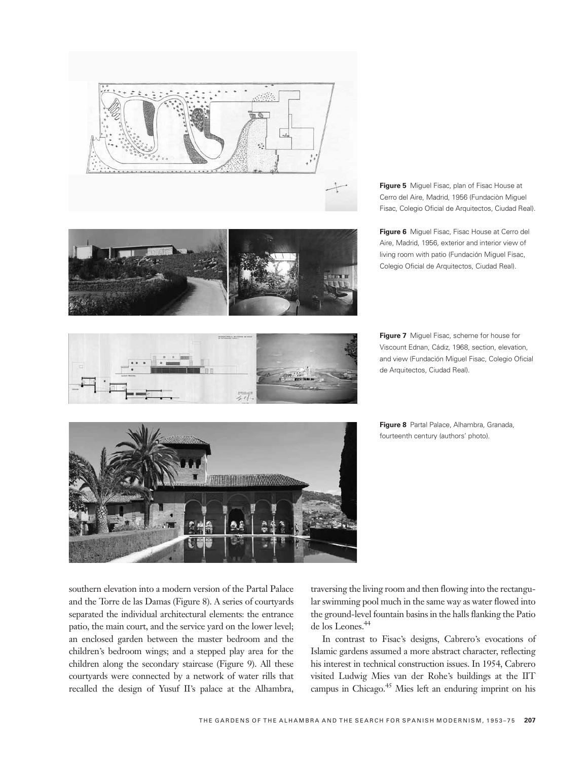southern elevation into a modern version of the Partal Palace and the Torre de las Damas (Figure 8). A series of courtyards separated the individual architectural elements: the entrance patio, the main court, and the service yard on the lower level; an enclosed garden between the master bedroom and the children's bedroom wings; and a stepped play area for the children along the secondary staircase (Figure 9). All these courtyards were connected by a network of water rills that recalled the design of Yusuf II's palace at the Alhambra,

traversing the living room and then flowing into the rectangular swimming pool much in the same way as water flowed into the ground-level fountain basins in the halls flanking the Patio de los Leones.44

In contrast to Fisac's designs, Cabrero's evocations of Islamic gardens assumed a more abstract character, reflecting his interest in technical construction issues. In 1954, Cabrero visited Ludwig Mies van der Rohe's buildings at the IIT campus in Chicago.<sup>45</sup> Mies left an enduring imprint on his

de Arquitectos, Ciudad Real).

Figure 7 Miguel Fisac, scheme for house for Viscount Ednan, Cádiz, 1968, section, elevation, and view (Fundación Miguel Fisac, Colegio Oficial

- 
- Figure 8 Partal Palace, Alhambra, Granada, fourteenth century (authors' photo).

Figure 5 Miguel Fisac, plan of Fisac House at Cerro del Aire, Madrid, 1956 (Fundaciòn Miguel Fisac, Colegio Oficial de Arquitectos, Ciudad Real).

Colegio Oficial de Arquitectos, Ciudad Real).







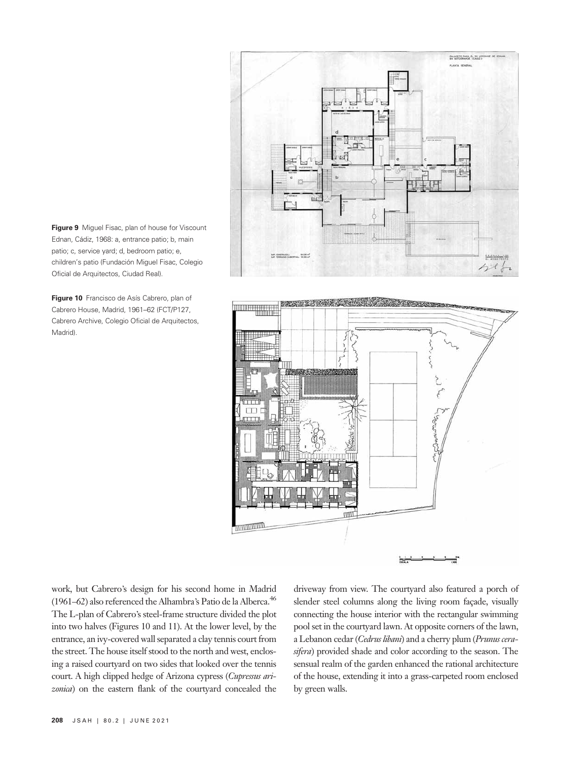

Figure 9 Miguel Fisac, plan of house for Viscount Ednan, Cádiz, 1968: a, entrance patio; b, main patio; c, service yard; d, bedroom patio; e, children's patio (Fundación Miguel Fisac, Colegio Oficial de Arquitectos, Ciudad Real).

Figure 10 Francisco de Asís Cabrero, plan of Cabrero House, Madrid, 1961–62 (FCT/P127, Cabrero Archive, Colegio Oficial de Arquitectos, Madrid).



work, but Cabrero's design for his second home in Madrid (1961–62) also referenced the Alhambra's Patio de la Alberca.46 The L-plan of Cabrero's steel-frame structure divided the plot into two halves (Figures 10 and 11). At the lower level, by the entrance, an ivy-covered wall separated a clay tennis court from the street. The house itself stood to the north and west, enclosing a raised courtyard on two sides that looked over the tennis court. A high clipped hedge of Arizona cypress (Cupressus arizonica) on the eastern flank of the courtyard concealed the

driveway from view. The courtyard also featured a porch of slender steel columns along the living room façade, visually connecting the house interior with the rectangular swimming pool set in the courtyard lawn. At opposite corners of the lawn, a Lebanon cedar (Cedrus libani) and a cherry plum (Prunus cerasifera) provided shade and color according to the season. The sensual realm of the garden enhanced the rational architecture of the house, extending it into a grass-carpeted room enclosed by green walls.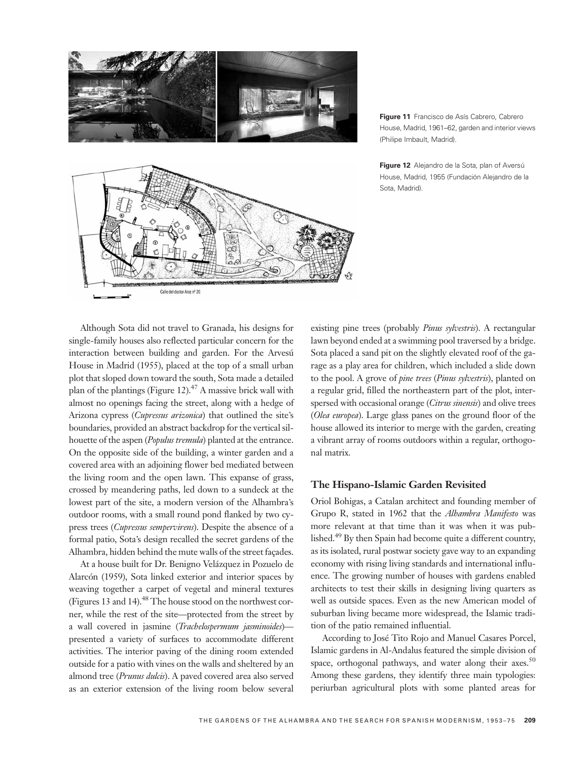

Figure 11 Francisco de Asís Cabrero, Cabrero House, Madrid, 1961–62, garden and interior views (Philipe Imbault, Madrid).

Figure 12 Alejandro de la Sota, plan of Aversú House, Madrid, 1955 (Fundación Alejandro de la Sota, Madrid).

Although Sota did not travel to Granada, his designs for single-family houses also reflected particular concern for the interaction between building and garden. For the Arvesú House in Madrid (1955), placed at the top of a small urban plot that sloped down toward the south, Sota made a detailed plan of the plantings (Figure 12).<sup>47</sup> A massive brick wall with almost no openings facing the street, along with a hedge of Arizona cypress (Cupressus arizonica) that outlined the site's boundaries, provided an abstract backdrop for the vertical silhouette of the aspen (Populus tremula) planted at the entrance. On the opposite side of the building, a winter garden and a covered area with an adjoining flower bed mediated between the living room and the open lawn. This expanse of grass, crossed by meandering paths, led down to a sundeck at the lowest part of the site, a modern version of the Alhambra's outdoor rooms, with a small round pond flanked by two cypress trees (Cupressus sempervirens). Despite the absence of a formal patio, Sota's design recalled the secret gardens of the Alhambra, hidden behind the mute walls of the street façades.

At a house built for Dr. Benigno Velázquez in Pozuelo de Alarcón (1959), Sota linked exterior and interior spaces by weaving together a carpet of vegetal and mineral textures (Figures 13 and 14).<sup>48</sup> The house stood on the northwest corner, while the rest of the site—protected from the street by a wall covered in jasmine (Trachelospermum jasminoides) presented a variety of surfaces to accommodate different activities. The interior paving of the dining room extended outside for a patio with vines on the walls and sheltered by an almond tree (Prunus dulcis). A paved covered area also served as an exterior extension of the living room below several

existing pine trees (probably Pinus sylvestris). A rectangular lawn beyond ended at a swimming pool traversed by a bridge. Sota placed a sand pit on the slightly elevated roof of the garage as a play area for children, which included a slide down to the pool. A grove of pine trees (Pinus sylvestris), planted on a regular grid, filled the northeastern part of the plot, interspersed with occasional orange (Citrus sinensis) and olive trees (Olea europea). Large glass panes on the ground floor of the house allowed its interior to merge with the garden, creating a vibrant array of rooms outdoors within a regular, orthogonal matrix.

#### The Hispano-Islamic Garden Revisited

Oriol Bohigas, a Catalan architect and founding member of Grupo R, stated in 1962 that the Alhambra Manifesto was more relevant at that time than it was when it was published.49 By then Spain had become quite a different country, as its isolated, rural postwar society gave way to an expanding economy with rising living standards and international influence. The growing number of houses with gardens enabled architects to test their skills in designing living quarters as well as outside spaces. Even as the new American model of suburban living became more widespread, the Islamic tradition of the patio remained influential.

According to José Tito Rojo and Manuel Casares Porcel, Islamic gardens in Al-Andalus featured the simple division of space, orthogonal pathways, and water along their axes.<sup>50</sup> Among these gardens, they identify three main typologies: periurban agricultural plots with some planted areas for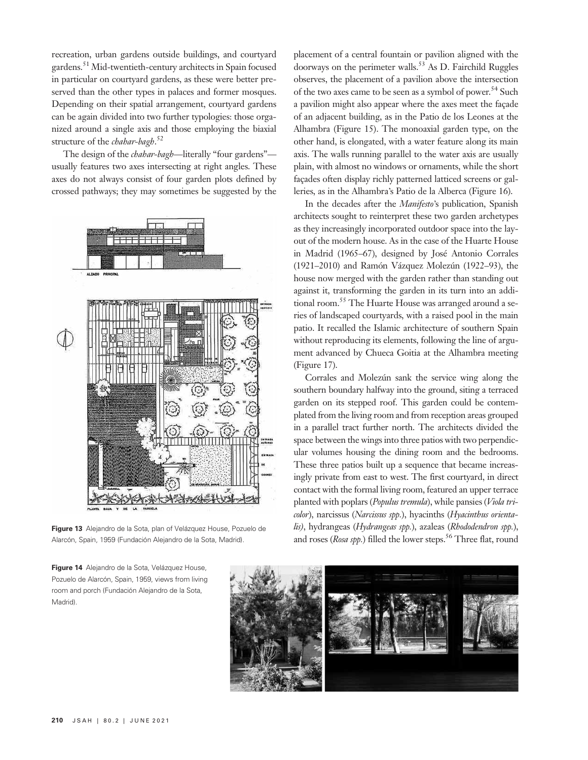recreation, urban gardens outside buildings, and courtyard gardens.51 Mid-twentieth-century architects in Spain focused in particular on courtyard gardens, as these were better preserved than the other types in palaces and former mosques. Depending on their spatial arrangement, courtyard gardens can be again divided into two further typologies: those organized around a single axis and those employing the biaxial structure of the *chahar-bagh*.<sup>52</sup>

The design of the *chahar-bagh*—literally "four gardens" usually features two axes intersecting at right angles. These axes do not always consist of four garden plots defined by crossed pathways; they may sometimes be suggested by the



Figure 13 Alejandro de la Sota, plan of Velázquez House, Pozuelo de Alarcón, Spain, 1959 (Fundación Alejandro de la Sota, Madrid).

Figure 14 Alejandro de la Sota, Velázquez House, Pozuelo de Alarcón, Spain, 1959, views from living room and porch (Fundación Alejandro de la Sota, Madrid).

placement of a central fountain or pavilion aligned with the doorways on the perimeter walls.<sup>53</sup> As D. Fairchild Ruggles observes, the placement of a pavilion above the intersection of the two axes came to be seen as a symbol of power.<sup>54</sup> Such a pavilion might also appear where the axes meet the façade of an adjacent building, as in the Patio de los Leones at the Alhambra (Figure 15). The monoaxial garden type, on the other hand, is elongated, with a water feature along its main axis. The walls running parallel to the water axis are usually plain, with almost no windows or ornaments, while the short façades often display richly patterned latticed screens or galleries, as in the Alhambra's Patio de la Alberca (Figure 16).

In the decades after the Manifesto's publication, Spanish architects sought to reinterpret these two garden archetypes as they increasingly incorporated outdoor space into the layout of the modern house. As in the case of the Huarte House in Madrid (1965–67), designed by José Antonio Corrales (1921–2010) and Ramón Vázquez Molezún (1922–93), the house now merged with the garden rather than standing out against it, transforming the garden in its turn into an additional room.<sup>55</sup> The Huarte House was arranged around a series of landscaped courtyards, with a raised pool in the main patio. It recalled the Islamic architecture of southern Spain without reproducing its elements, following the line of argument advanced by Chueca Goitia at the Alhambra meeting (Figure 17).

Corrales and Molezún sank the service wing along the southern boundary halfway into the ground, siting a terraced garden on its stepped roof. This garden could be contemplated from the living room and from reception areas grouped in a parallel tract further north. The architects divided the space between the wings into three patios with two perpendicular volumes housing the dining room and the bedrooms. These three patios built up a sequence that became increasingly private from east to west. The first courtyard, in direct contact with the formal living room, featured an upper terrace planted with poplars (Populus tremula), while pansies (Viola tricolor), narcissus (Narcissus spp.), hyacinths (Hyacinthus orientalis), hydrangeas (Hydrangeas spp.), azaleas (Rhododendron spp.), and roses (Rosa spp.) filled the lower steps.<sup>56</sup> Three flat, round

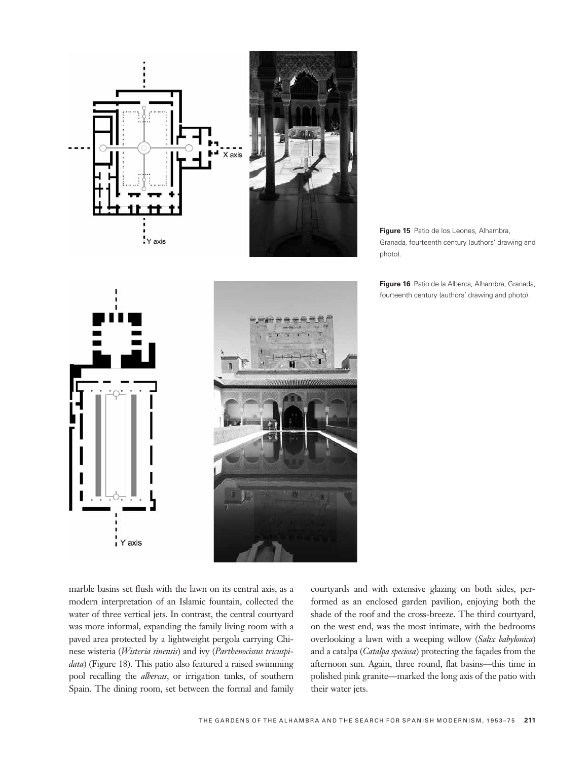

Figure 15 Patio de los Leones, Alhambra, Granada, fourteenth century (authors' drawing and photo).

Figure 16 Patio de la Alberca, Alhambra, Granada, fourteenth century (authors' drawing and photo).





marble basins set flush with the lawn on its central axis, as a modern interpretation of an Islamic fountain, collected the water of three vertical jets. In contrast, the central courtyard was more informal, expanding the family living room with a paved area protected by a lightweight pergola carrying Chinese wisteria (Wisteria sinensis) and ivy (Parthenocissus tricuspidata) (Figure 18). This patio also featured a raised swimming pool recalling the albercas, or irrigation tanks, of southern Spain. The dining room, set between the formal and family courtyards and with extensive glazing on both sides, performed as an enclosed garden pavilion, enjoying both the shade of the roof and the cross-breeze. The third courtyard, on the west end, was the most intimate, with the bedrooms overlooking a lawn with a weeping willow (Salix babylonica) and a catalpa (Catalpa speciosa) protecting the façades from the afternoon sun. Again, three round, flat basins—this time in polished pink granite—marked the long axis of the patio with their water jets.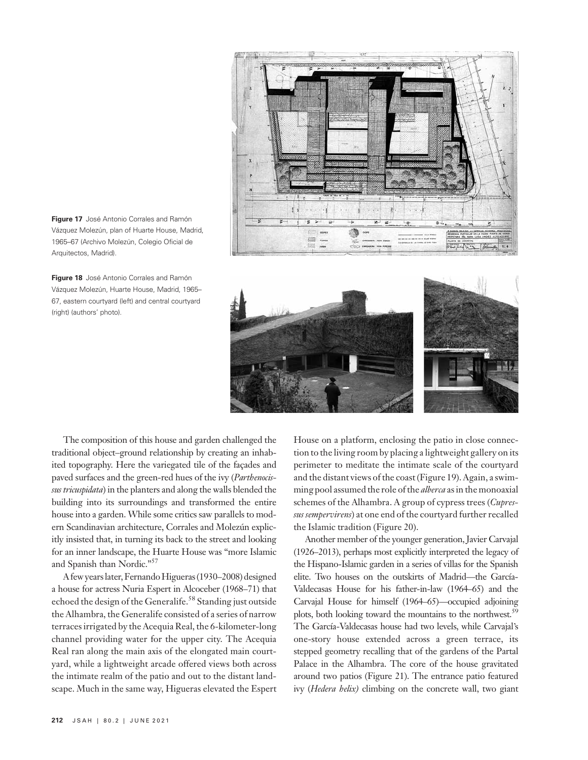

Figure 17 José Antonio Corrales and Ramón Vázquez Molezún, plan of Huarte House, Madrid, 1965–67 (Archivo Molezún, Colegio Oficial de Arquitectos, Madrid).

Figure 18 José Antonio Corrales and Ramón Vázquez Molezún, Huarte House, Madrid, 1965– 67, eastern courtyard (left) and central courtyard (right) (authors' photo).



The composition of this house and garden challenged the traditional object–ground relationship by creating an inhabited topography. Here the variegated tile of the façades and paved surfaces and the green-red hues of the ivy (Parthenocissus tricuspidata) in the planters and along the walls blended the building into its surroundings and transformed the entire house into a garden. While some critics saw parallels to modern Scandinavian architecture, Corrales and Molezún explicitly insisted that, in turning its back to the street and looking for an inner landscape, the Huarte House was "more Islamic and Spanish than Nordic." 57

A few years later, Fernando Higueras (1930–2008) designed a house for actress Nuria Espert in Alcoceber (1968–71) that echoed the design of the Generalife.<sup>58</sup> Standing just outside the Alhambra, the Generalife consisted of a series of narrow terraces irrigated by the Acequia Real, the 6-kilometer-long channel providing water for the upper city. The Acequia Real ran along the main axis of the elongated main courtyard, while a lightweight arcade offered views both across the intimate realm of the patio and out to the distant landscape. Much in the same way, Higueras elevated the Espert House on a platform, enclosing the patio in close connection to the living room by placing a lightweight gallery on its perimeter to meditate the intimate scale of the courtyard and the distant views of the coast (Figure 19). Again, a swimming pool assumed the role of the alberca as in the monoaxial schemes of the Alhambra. A group of cypress trees (Cupressus sempervirens) at one end of the courtyard further recalled the Islamic tradition (Figure 20).

Another member of the younger generation, Javier Carvajal (1926–2013), perhaps most explicitly interpreted the legacy of the Hispano-Islamic garden in a series of villas for the Spanish elite. Two houses on the outskirts of Madrid—the García-Valdecasas House for his father-in-law (1964–65) and the Carvajal House for himself (1964–65)—occupied adjoining plots, both looking toward the mountains to the northwest.<sup>59</sup> The García-Valdecasas house had two levels, while Carvajal's one-story house extended across a green terrace, its stepped geometry recalling that of the gardens of the Partal Palace in the Alhambra. The core of the house gravitated around two patios (Figure 21). The entrance patio featured ivy (Hedera helix) climbing on the concrete wall, two giant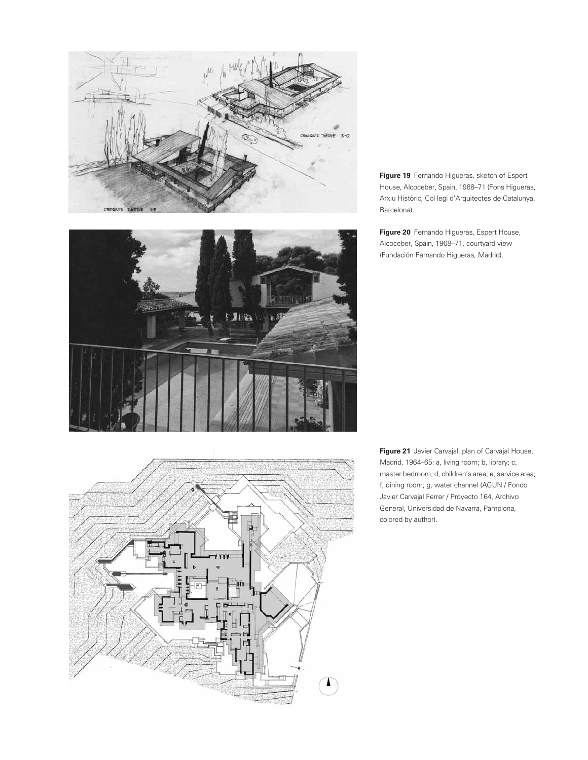





Figure 20 Fernando Higueras, Espert House, Alcoceber, Spain, 1968–71, courtyard view (Fundación Fernando Higueras, Madrid).



Figure 21 Javier Carvajal, plan of Carvajal House, Madrid, 1964–65: a, living room; b, library; c, master bedroom; d, children's area; e, service area; f, dining room; g, water channel (AGUN / Fondo Javier Carvajal Ferrer / Proyecto 164, Archivo General, Universidad de Navarra, Pamplona, colored by author).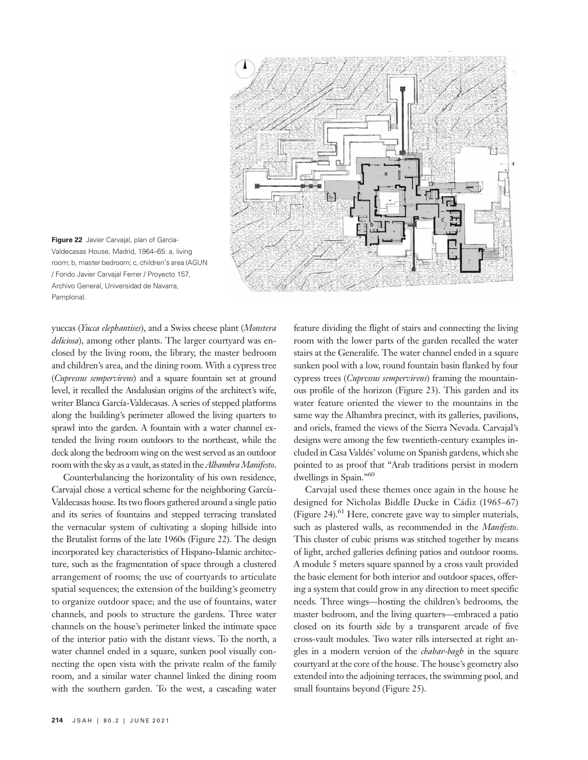

Figure 22 Javier Carvajal, plan of Garcìa-Valdecasas House, Madrid, 1964–65: a, living room; b, master bedroom; c, children's area (AGUN / Fondo Javier Carvajal Ferrer / Proyecto 157, Archivo General, Universidad de Navarra, Pamplona).

yuccas (Yucca elephantises), and a Swiss cheese plant (Monstera deliciosa), among other plants. The larger courtyard was enclosed by the living room, the library, the master bedroom and children's area, and the dining room. With a cypress tree (Cupressus sempervirens) and a square fountain set at ground level, it recalled the Andalusian origins of the architect's wife, writer Blanca García-Valdecasas. A series of stepped platforms along the building's perimeter allowed the living quarters to sprawl into the garden. A fountain with a water channel extended the living room outdoors to the northeast, while the deck along the bedroom wing on the west served as an outdoor room with the sky as a vault, as stated in the *Alhambra Manifesto*.

Counterbalancing the horizontality of his own residence, Carvajal chose a vertical scheme for the neighboring García-Valdecasas house. Its two floors gathered around a single patio and its series of fountains and stepped terracing translated the vernacular system of cultivating a sloping hillside into the Brutalist forms of the late 1960s (Figure 22). The design incorporated key characteristics of Hispano-Islamic architecture, such as the fragmentation of space through a clustered arrangement of rooms; the use of courtyards to articulate spatial sequences; the extension of the building's geometry to organize outdoor space; and the use of fountains, water channels, and pools to structure the gardens. Three water channels on the house's perimeter linked the intimate space of the interior patio with the distant views. To the north, a water channel ended in a square, sunken pool visually connecting the open vista with the private realm of the family room, and a similar water channel linked the dining room with the southern garden. To the west, a cascading water feature dividing the flight of stairs and connecting the living room with the lower parts of the garden recalled the water stairs at the Generalife. The water channel ended in a square sunken pool with a low, round fountain basin flanked by four cypress trees (Cupressus sempervirens) framing the mountainous profile of the horizon (Figure 23). This garden and its water feature oriented the viewer to the mountains in the same way the Alhambra precinct, with its galleries, pavilions, and oriels, framed the views of the Sierra Nevada. Carvajal's designs were among the few twentieth-century examples included in Casa Valdés' volume on Spanish gardens, which she pointed to as proof that "Arab traditions persist in modern dwellings in Spain."<sup>60</sup>

Carvajal used these themes once again in the house he designed for Nicholas Biddle Ducke in Cádiz (1965–67) (Figure 24).<sup>61</sup> Here, concrete gave way to simpler materials, such as plastered walls, as recommended in the Manifesto. This cluster of cubic prisms was stitched together by means of light, arched galleries defining patios and outdoor rooms. A module 5 meters square spanned by a cross vault provided the basic element for both interior and outdoor spaces, offering a system that could grow in any direction to meet specific needs. Three wings—hosting the children's bedrooms, the master bedroom, and the living quarters—embraced a patio closed on its fourth side by a transparent arcade of five cross-vault modules. Two water rills intersected at right angles in a modern version of the chahar-bagh in the square courtyard at the core of the house. The house's geometry also extended into the adjoining terraces, the swimming pool, and small fountains beyond (Figure 25).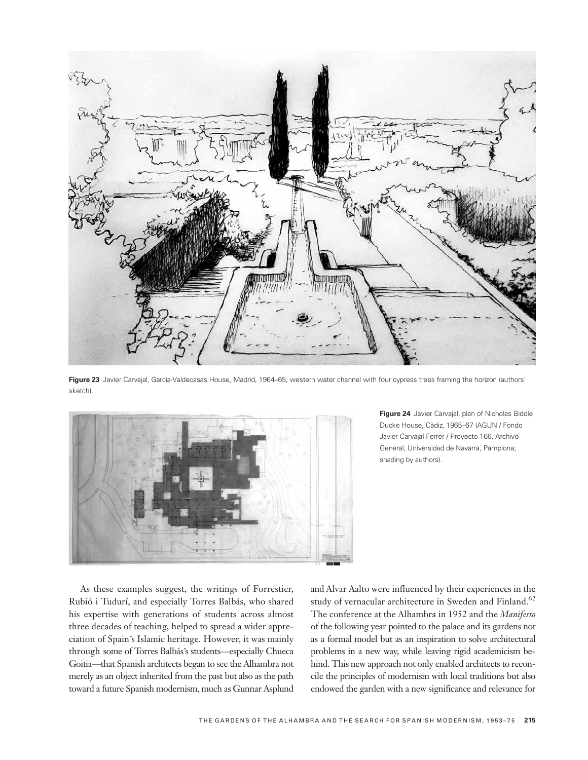

Figure 23 Javier Carvajal, Garcìa-Valdecasas House, Madrid, 1964–65, western water channel with four cypress trees framing the horizon (authors' sketch).



Figure 24 Javier Carvajal, plan of Nicholas Biddle Ducke House, Càdiz, 1965–67 (AGUN / Fondo Javier Carvajal Ferrer / Proyecto 166, Archivo General, Universidad de Navarra, Pamplona; shading by authors).

As these examples suggest, the writings of Forrestier, Rubió i Tudurí, and especially Torres Balbás, who shared his expertise with generations of students across almost three decades of teaching, helped to spread a wider appreciation of Spain's Islamic heritage. However, it was mainly through some of Torres Balbás's students—especially Chueca Goitia—that Spanish architects began to see the Alhambra not merely as an object inherited from the past but also as the path toward a future Spanish modernism, much as Gunnar Asplund

and Alvar Aalto were influenced by their experiences in the study of vernacular architecture in Sweden and Finland.<sup>62</sup> The conference at the Alhambra in 1952 and the Manifesto of the following year pointed to the palace and its gardens not as a formal model but as an inspiration to solve architectural problems in a new way, while leaving rigid academicism behind. This new approach not only enabled architects to reconcile the principles of modernism with local traditions but also endowed the garden with a new significance and relevance for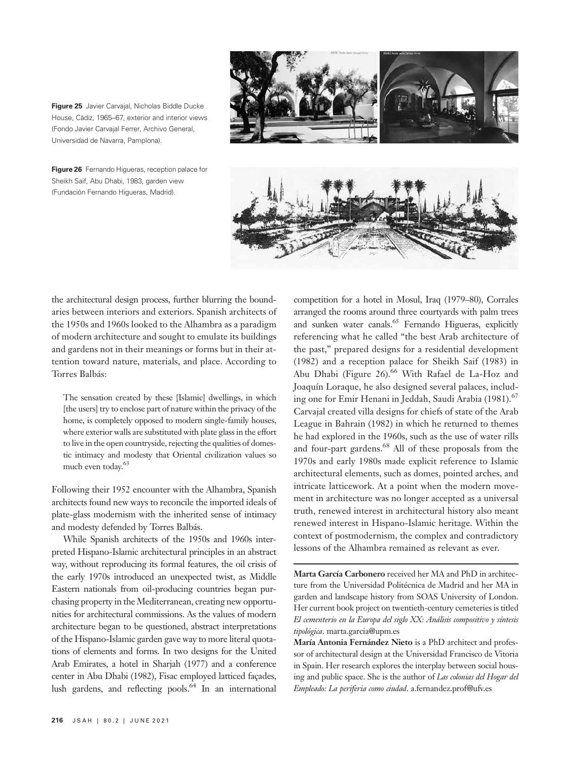

Figure 25 Javier Carvajal, Nicholas Biddle Ducke House, Càdiz, 1965–67, exterior and interior views (Fondo Javier Carvajal Ferrer, Archivo General, Universidad de Navarra, Pamplona).

Figure 26 Fernando Higueras, reception palace for Sheikh Saif, Abu Dhabi, 1983, garden view (Fundación Fernando Higueras, Madrid).

the architectural design process, further blurring the boundaries between interiors and exteriors. Spanish architects of the 1950s and 1960s looked to the Alhambra as a paradigm of modern architecture and sought to emulate its buildings and gardens not in their meanings or forms but in their attention toward nature, materials, and place. According to Torres Balbás:

The sensation created by these [Islamic] dwellings, in which [the users] try to enclose part of nature within the privacy of the home, is completely opposed to modern single-family houses, where exterior walls are substituted with plate glass in the effort to live in the open countryside, rejecting the qualities of domestic intimacy and modesty that Oriental civilization values so much even today.63

Following their 1952 encounter with the Alhambra, Spanish architects found new ways to reconcile the imported ideals of plate-glass modernism with the inherited sense of intimacy and modesty defended by Torres Balbás.

While Spanish architects of the 1950s and 1960s interpreted Hispano-Islamic architectural principles in an abstract way, without reproducing its formal features, the oil crisis of the early 1970s introduced an unexpected twist, as Middle Eastern nationals from oil-producing countries began purchasing property in the Mediterranean, creating new opportunities for architectural commissions. As the values of modern architecture began to be questioned, abstract interpretations of the Hispano-Islamic garden gave way to more literal quotations of elements and forms. In two designs for the United Arab Emirates, a hotel in Sharjah (1977) and a conference center in Abu Dhabi (1982), Fisac employed latticed façades, lush gardens, and reflecting pools. $64$  In an international

competition for a hotel in Mosul, Iraq (1979–80), Corrales arranged the rooms around three courtyards with palm trees and sunken water canals.<sup>65</sup> Fernando Higueras, explicitly referencing what he called "the best Arab architecture of the past," prepared designs for a residential development (1982) and a reception palace for Sheikh Saif (1983) in Abu Dhabi (Figure 26).<sup>66</sup> With Rafael de La-Hoz and Joaquín Loraque, he also designed several palaces, including one for Emir Henani in Jeddah, Saudi Arabia (1981).<sup>67</sup> Carvajal created villa designs for chiefs of state of the Arab League in Bahrain (1982) in which he returned to themes he had explored in the 1960s, such as the use of water rills and four-part gardens.<sup>68</sup> All of these proposals from the 1970s and early 1980s made explicit reference to Islamic architectural elements, such as domes, pointed arches, and intricate latticework. At a point when the modern movement in architecture was no longer accepted as a universal truth, renewed interest in architectural history also meant renewed interest in Hispano-Islamic heritage. Within the context of postmodernism, the complex and contradictory lessons of the Alhambra remained as relevant as ever.

Marta García Carbonero received her MA and PhD in architecture from the Universidad Politécnica de Madrid and her MA in garden and landscape history from SOAS University of London. Her current book project on twentieth-century cemeteries is titled El cementerio en la Europa del siglo XX: Análisis compositivo y síntesis tipológica. marta.garcia@upm.es

María Antonia Fernández Nieto is a PhD architect and professor of architectural design at the Universidad Francisco de Vitoria in Spain. Her research explores the interplay between social housing and public space. She is the author of Las colonias del Hogar del Empleado: La periferia como ciudad. a.fernandez.prof@ufv.es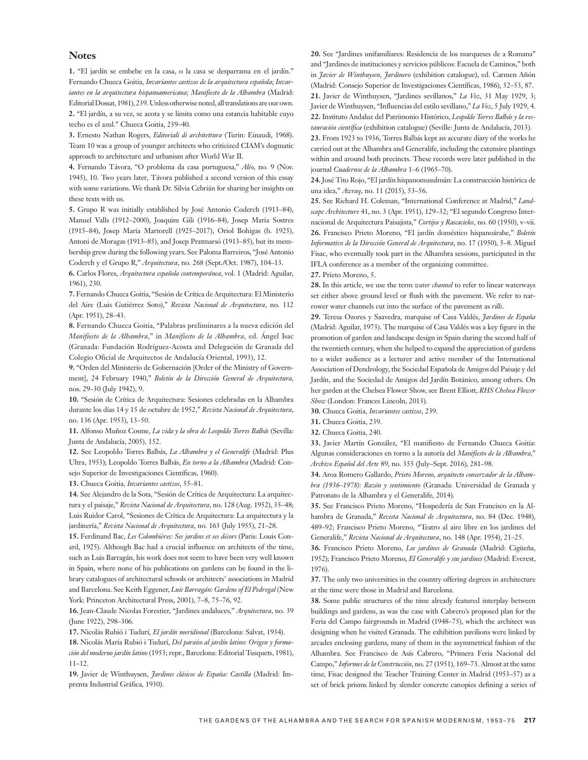#### **Notes**

1. "El jardín se embebe en la casa, o la casa se desparrama en el jardín." Fernando Chueca Goitia, Invariantes castizos de la arquitectura española; Invariantes en la arquitectura hispanoamericana; Manifiesto de la Alhambra (Madrid: EditorialDossat, 1981), 239.Unless otherwise noted, all translations are our own. 2. "El jardín, a su vez, se acota y se limita como una estancia habitable cuyo techo es el azul." Chueca Goitia, 239–40.

3. Ernesto Nathan Rogers, Editoriali di architettura (Turin: Einaudi, 1968). Team 10 was a group of younger architects who criticized CIAM's dogmatic approach to architecture and urbanism after World War II.

4. Fernando Távora, "O problema da casa portuguesa," Aléo, no. 9 (Nov. 1945), 10. Two years later, Távora published a second version of this essay with some variations. We thank Dr. Silvia Cebrián for sharing her insights on these texts with us.

5. Grupo R was initially established by José Antonio Coderch (1913–84), Manuel Valls (1912–2000), Joaquim Gili (1916–84), Josep Maria Sostres (1915–84), Josep Maria Martorell (1925–2017), Oriol Bohigas (b. 1925), Antoni de Moragas (1913–85), and Josep Pratmarsó (1913–85), but its membership grew during the following years. See Paloma Barreiros, "José Antonio Coderch y el Grupo R," Arquitectura, no. 268 (Sept./Oct. 1987), 104–13.

6. Carlos Flores, Arquitectura española contemporánea, vol. 1 (Madrid: Aguilar, 1961), 230.

7. Fernando Chueca Goitia, "Sesión de Crítica de Arquitectura: El Ministerio del Aire (Luis Gutiérrez Soto)," Revista Nacional de Arquitectura, no. 112 (Apr. 1951), 28–43.

8. Fernando Chueca Goitia, "Palabras preliminares a la nueva edición del Manifiesto de la Alhambra," in Manifiesto de la Alhambra, ed. Ángel Isac (Granada: Fundación Rodríguez-Acosta and Delegación de Granada del Colegio Oficial de Arquitectos de Andalucía Oriental, 1993), 12.

9. "Orden del Ministerio de Gobernación [Order of the Ministry of Government], 24 February 1940," Boletín de la Dirección General de Arquitectura, nos. 29–30 (July 1942), 9.

10. "Sesión de Crítica de Arquitectura: Sesiones celebradas en la Alhambra durante los días 14 y 15 de octubre de 1952," Revista Nacional de Arquitectura, no. 136 (Apr. 1953), 13–50.

11. Alfonso Muñoz Cosme, La vida y la obra de Leopoldo Torres Balbás (Sevilla: Junta de Andalucía, 2005), 152.

12. See Leopoldo Torres Balbás, La Alhambra y el Generalife (Madrid: Plus Ultra, 1953); Leopoldo Torres Balbás, En torno a la Alhambra (Madrid: Consejo Superior de Investigaciones Científicas, 1960).

13. Chueca Goitia, Invariantes castizos, 55–81.

14. See Alejandro de la Sota, "Sesión de Crítica de Arquitectura: La arquitectura y el paisaje," Revista Nacional de Arquitectura, no. 128 (Aug. 1952), 35–48; Luis Ruidor Carol, "Sesiones de Crítica de Arquitectura: La arquitectura y la jardinería," Revista Nacional de Arquitectura, no. 163 (July 1955), 21-28.

15. Ferdinand Bac, Les Colombières: Ses jardins et ses décors (Paris: Louis Conard, 1925). Although Bac had a crucial influence on architects of the time, such as Luis Barragán, his work does not seem to have been very well known in Spain, where none of his publications on gardens can be found in the library catalogues of architectural schools or architects' associations in Madrid and Barcelona. See Keith Eggener, Luis Barragán: Gardens of El Pedregal (New York: Princeton Architectural Press, 2001), 7–8, 75–76, 92.

16. Jean-Claude Nicolas Forestier, "Jardines andaluces," Arquitectura, no. 39 (June 1922), 298–306.

17. Nicolás Rubió i Tudurí, El jardín meridional (Barcelona: Salvat, 1934).

18. Nicolás María Rubió i Tudurí, Del paraíso al jardín latino: Origen y formación del moderno jardín latino (1953; repr., Barcelona: Editorial Tusquets, 1981), 11–12.

19. Javier de Winthuysen, *Jardines clásicos de España: Castilla (M*adrid: Imprenta Industrial Gráfica, 1930).

20. See "Jardines unifamiliares: Residencia de los marqueses de a Romana" and "Jardines de instituciones y servicios públicos: Escuela de Caminos," both in Javier de Winthuysen, Jardinero (exhibition catalogue), ed. Carmen Añón (Madrid: Consejo Superior de Investigaciones Científicas, 1986), 52–53, 87. 21. Javier de Winthuysen, "Jardines sevillanos," La Voz, 31 May 1929, 3; Javier de Winthuysen, "Influencias del estilo sevillano," La Voz, 5 July 1929, 4. 22. Instituto Andaluz del Patrimonio Histórico, Leopoldo Torres Balbás y la restauración científica (exhibition catalogue) (Seville: Junta de Andalucía, 2013).

23. From 1923 to 1936, Torres Balbás kept an accurate diary of the works he carried out at the Alhambra and Generalife, including the extensive plantings within and around both precincts. These records were later published in the journal Cuadernos de la Alhambra 1–6 (1965–70).

24. José Tito Rojo, "El jardín hispanomusulmán: La construcción histórica de una idea," Awraq, no. 11 (2015), 53–56.

25. See Richard H. Coleman, "International Conference at Madrid," Landscape Architecture 41, no. 3 (Apr. 1951), 129–32; "El segundo Congreso Internacional de Arquitectura Paisajista," Cortijos y Rascacielos, no. 60 (1950), v–vii. 26. Francisco Prieto Moreno, "El jardín doméstico hispanoárabe," Boletín Informativo de la Dirección General de Arquitectura, no. 17 (1950), 5–8. Miguel Fisac, who eventually took part in the Alhambra sessions, participated in the IFLA conference as a member of the organizing committee.

27. Prieto Moreno, 5.

28. In this article, we use the term water channel to refer to linear waterways set either above ground level or flush with the pavement. We refer to narrower water channels cut into the surface of the pavement as rills.

29. Teresa Ozores y Saavedra, marquise of Casa Valdés, *Jardines de España* (Madrid: Aguilar, 1973). The marquise of Casa Valdés was a key figure in the promotion of garden and landscape design in Spain during the second half of the twentieth century, when she helped to expand the appreciation of gardens to a wider audience as a lecturer and active member of the International Association of Dendrology, the Sociedad Española de Amigos del Paisaje y del Jardín, and the Sociedad de Amigos del Jardín Botánico, among others. On her garden at the Chelsea Flower Show, see Brent Elliott, RHS Chelsea Flower Show (London: Frances Lincoln, 2013).

30. Chueca Goitia, Invariantes castizos, 239.

31. Chueca Goitia, 239.

32. Chueca Goitia, 240.

33. Javier Martín González, "El manifiesto de Fernando Chueca Goitia: Algunas consideraciones en torno a la autoría del Manifiesto de la Alhambra," Archivo Español del Arte 89, no. 355 (July–Sept. 2016), 281–98.

34. Aroa Romero Gallardo, Prieto Moreno, arquitecto conservador de la Alhambra (1936–1978): Razón y sentimiento (Granada: Universidad de Granada y Patronato de la Alhambra y el Generalife, 2014).

35. See Francisco Prieto Moreno, "Hospedería de San Francisco en la Alhambra de Granada," Revista Nacional de Arquitectura, no. 84 (Dec. 1948), 489–92; Francisco Prieto Moreno, "Teatro al aire libre en los jardines del Generalife," Revista Nacional de Arquitectura, no. 148 (Apr. 1954), 21–25.

36. Francisco Prieto Moreno, Los jardines de Granada (Madrid: Cigüeña, 1952); Francisco Prieto Moreno, El Generalife y sus jardines (Madrid: Everest, 1976).

37. The only two universities in the country offering degrees in architecture at the time were those in Madrid and Barcelona.

38. Some public structures of the time already featured interplay between buildings and gardens, as was the case with Cabrero's proposed plan for the Feria del Campo fairgrounds in Madrid (1948–75), which the architect was designing when he visited Granada. The exhibition pavilions were linked by arcades enclosing gardens, many of them in the asymmetrical fashion of the Alhambra. See Francisco de Asís Cabrero, "Primera Feria Nacional del Campo," Informes de la Construcción, no. 27 (1951), 169–73. Almost at the same time, Fisac designed the Teacher Training Center in Madrid (1953–57) as a set of brick prisms linked by slender concrete canopies defining a series of